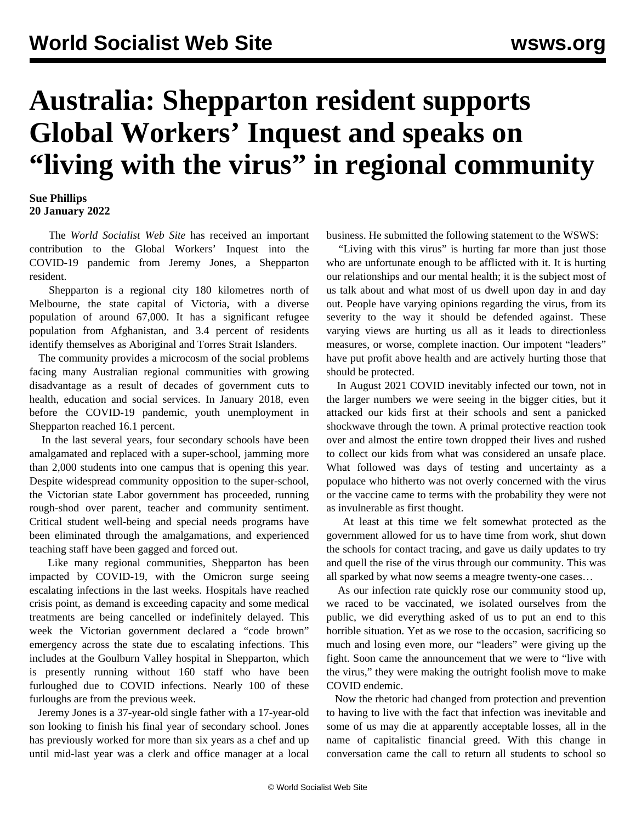## **Australia: Shepparton resident supports Global Workers' Inquest and speaks on "living with the virus" in regional community**

## **Sue Phillips 20 January 2022**

 The *World Socialist Web Site* has received an important contribution to the Global Workers' Inquest into the COVID-19 pandemic from Jeremy Jones, a Shepparton resident.

 Shepparton is a regional city 180 kilometres north of Melbourne, the state capital of Victoria, with a diverse population of around 67,000. It has a significant refugee population from Afghanistan, and 3.4 percent of residents identify themselves as Aboriginal and Torres Strait Islanders.

 The community provides a microcosm of the social problems facing many Australian regional communities with growing disadvantage as a result of decades of government cuts to health, education and social services. In January 2018, even before the COVID-19 pandemic, youth unemployment in Shepparton reached 16.1 percent.

 In the last several years, four secondary schools have been amalgamated and replaced with a super-school, jamming more than 2,000 students into one campus that is opening this year. Despite widespread community opposition to the super-school, the Victorian state Labor government has proceeded, running rough-shod over parent, teacher and community sentiment. Critical student well-being and special needs programs have been eliminated through the amalgamations, and experienced teaching staff have been gagged and forced out.

 Like many regional communities, Shepparton has been impacted by COVID-19, with the Omicron surge seeing escalating infections in the last weeks. Hospitals have reached crisis point, as demand is exceeding capacity and some medical treatments are being cancelled or indefinitely delayed. This week the Victorian government declared a "code brown" emergency across the state due to escalating infections. This includes at the Goulburn Valley hospital in Shepparton, which is presently running without 160 staff who have been furloughed due to COVID infections. Nearly 100 of these furloughs are from the previous week.

 Jeremy Jones is a 37-year-old single father with a 17-year-old son looking to finish his final year of secondary school. Jones has previously worked for more than six years as a chef and up until mid-last year was a clerk and office manager at a local business. He submitted the following statement to the WSWS:

 "Living with this virus" is hurting far more than just those who are unfortunate enough to be afflicted with it. It is hurting our relationships and our mental health; it is the subject most of us talk about and what most of us dwell upon day in and day out. People have varying opinions regarding the virus, from its severity to the way it should be defended against. These varying views are hurting us all as it leads to directionless measures, or worse, complete inaction. Our impotent "leaders" have put profit above health and are actively hurting those that should be protected.

 In August 2021 COVID inevitably infected our town, not in the larger numbers we were seeing in the bigger cities, but it attacked our kids first at their schools and sent a panicked shockwave through the town. A primal protective reaction took over and almost the entire town dropped their lives and rushed to collect our kids from what was considered an unsafe place. What followed was days of testing and uncertainty as a populace who hitherto was not overly concerned with the virus or the vaccine came to terms with the probability they were not as invulnerable as first thought.

 At least at this time we felt somewhat protected as the government allowed for us to have time from work, shut down the schools for contact tracing, and gave us daily updates to try and quell the rise of the virus through our community. This was all sparked by what now seems a meagre twenty-one cases…

 As our infection rate quickly rose our community stood up, we raced to be vaccinated, we isolated ourselves from the public, we did everything asked of us to put an end to this horrible situation. Yet as we rose to the occasion, sacrificing so much and losing even more, our "leaders" were giving up the fight. Soon came the announcement that we were to "live with the virus," they were making the outright foolish move to make COVID endemic.

 Now the rhetoric had changed from protection and prevention to having to live with the fact that infection was inevitable and some of us may die at apparently acceptable losses, all in the name of capitalistic financial greed. With this change in conversation came the call to return all students to school so